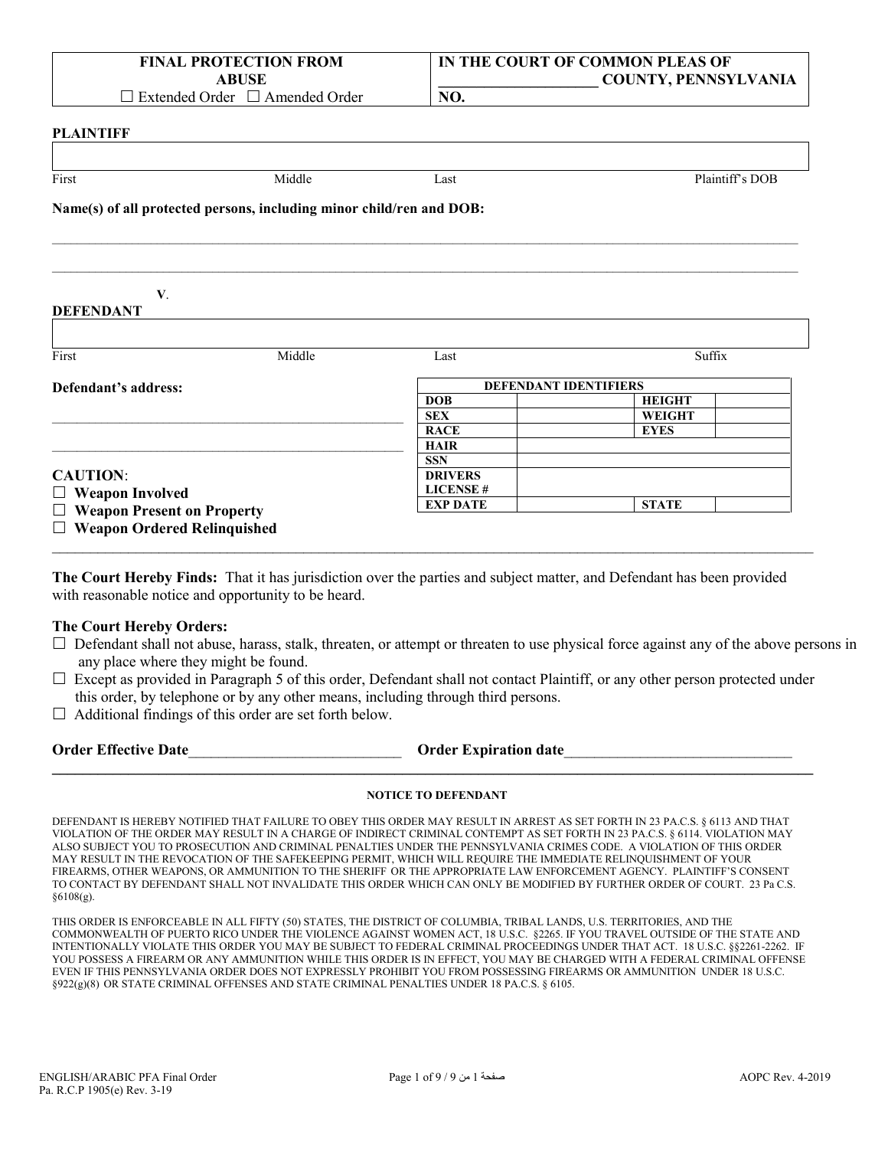|                  | <b>FINAL PROTECTION FROM</b><br><b>ABUSE</b>                         |      | IN THE COURT OF COMMON PLEAS OF<br><b>COUNTY, PENNSYLVANIA</b> |
|------------------|----------------------------------------------------------------------|------|----------------------------------------------------------------|
|                  | $\Box$ Extended Order $\Box$ Amended Order                           | NO.  |                                                                |
| <b>PLAINTIFF</b> |                                                                      |      |                                                                |
| First            | Middle                                                               | Last | Plaintiff's DOB                                                |
|                  | Name(s) of all protected persons, including minor child/ren and DOB: |      |                                                                |
|                  |                                                                      |      |                                                                |
|                  |                                                                      |      |                                                                |

#### **V**. **DEFENDANT**

| First                             | Middle | Last            | Suffix                       |
|-----------------------------------|--------|-----------------|------------------------------|
| Defendant's address:              |        |                 | <b>DEFENDANT IDENTIFIERS</b> |
|                                   |        | <b>DOB</b>      | <b>HEIGHT</b>                |
|                                   |        | <b>SEX</b>      | <b>WEIGHT</b>                |
|                                   |        | <b>RACE</b>     | <b>EYES</b>                  |
|                                   |        | <b>HAIR</b>     |                              |
|                                   |        | <b>SSN</b>      |                              |
| <b>CAUTION:</b>                   |        | <b>DRIVERS</b>  |                              |
| $\Box$ Weapon Involved            |        | <b>LICENSE#</b> |                              |
| $\Box$ Weapon Present on Property |        | <b>EXP DATE</b> | <b>STATE</b>                 |

**The Court Hereby Finds:** That it has jurisdiction over the parties and subject matter, and Defendant has been provided with reasonable notice and opportunity to be heard.

 $\_$  , and the set of the set of the set of the set of the set of the set of the set of the set of the set of the set of the set of the set of the set of the set of the set of the set of the set of the set of the set of th

#### **The Court Hereby Orders:**

- $\Box$  Defendant shall not abuse, harass, stalk, threaten, or attempt or threaten to use physical force against any of the above persons in any place where they might be found.
- $\Box$  Except as provided in Paragraph 5 of this order, Defendant shall not contact Plaintiff, or any other person protected under this order, by telephone or by any other means, including through third persons.
- $\Box$  Additional findings of this order are set forth below.

| <b>Order Effective Date</b> | <b>Order Expiration date</b> |  |
|-----------------------------|------------------------------|--|
|                             |                              |  |

#### **NOTICE TO DEFENDANT**

DEFENDANT IS HEREBY NOTIFIED THAT FAILURE TO OBEY THIS ORDER MAY RESULT IN ARREST AS SET FORTH IN 23 PA.C.S. § 6113 AND THAT VIOLATION OF THE ORDER MAY RESULT IN A CHARGE OF INDIRECT CRIMINAL CONTEMPT AS SET FORTH IN 23 PA.C.S. § 6114. VIOLATION MAY ALSO SUBJECT YOU TO PROSECUTION AND CRIMINAL PENALTIES UNDER THE PENNSYLVANIA CRIMES CODE. A VIOLATION OF THIS ORDER MAY RESULT IN THE REVOCATION OF THE SAFEKEEPING PERMIT, WHICH WILL REQUIRE THE IMMEDIATE RELINQUISHMENT OF YOUR FIREARMS, OTHER WEAPONS, OR AMMUNITION TO THE SHERIFF OR THE APPROPRIATE LAW ENFORCEMENT AGENCY. PLAINTIFF'S CONSENT TO CONTACT BY DEFENDANT SHALL NOT INVALIDATE THIS ORDER WHICH CAN ONLY BE MODIFIED BY FURTHER ORDER OF COURT. 23 Pa C.S. §6108(g).

THIS ORDER IS ENFORCEABLE IN ALL FIFTY (50) STATES, THE DISTRICT OF COLUMBIA, TRIBAL LANDS, U.S. TERRITORIES, AND THE COMMONWEALTH OF PUERTO RICO UNDER THE VIOLENCE AGAINST WOMEN ACT, 18 U.S.C. §2265. IF YOU TRAVEL OUTSIDE OF THE STATE AND INTENTIONALLY VIOLATE THIS ORDER YOU MAY BE SUBJECT TO FEDERAL CRIMINAL PROCEEDINGS UNDER THAT ACT. 18 U.S.C. §§2261-2262. IF YOU POSSESS A FIREARM OR ANY AMMUNITION WHILE THIS ORDER IS IN EFFECT, YOU MAY BE CHARGED WITH A FEDERAL CRIMINAL OFFENSE EVEN IF THIS PENNSYLVANIA ORDER DOES NOT EXPRESSLY PROHIBIT YOU FROM POSSESSING FIREARMS OR AMMUNITION UNDER 18 U.S.C. §922(g)(8) OR STATE CRIMINAL OFFENSES AND STATE CRIMINAL PENALTIES UNDER 18 PA.C.S. § 6105.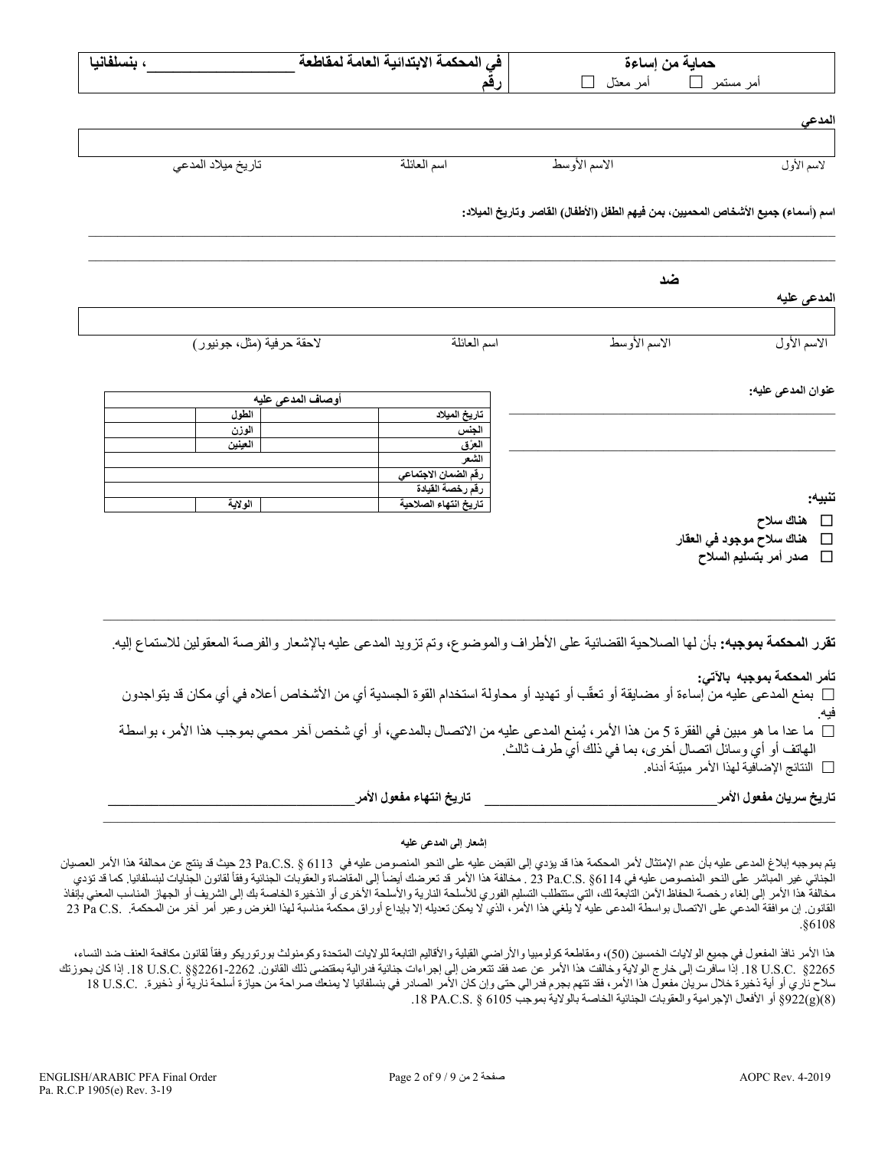| حماية من إساءة                                                                                                                                                     |              | في المحكمة الابتدائية العامة لمقاطعة     |                           | ، بنسلفانيا |
|--------------------------------------------------------------------------------------------------------------------------------------------------------------------|--------------|------------------------------------------|---------------------------|-------------|
| أمر مستمر └ أمر معدّل └ ا                                                                                                                                          |              | رقم                                      |                           |             |
| المدعي                                                                                                                                                             |              |                                          |                           |             |
|                                                                                                                                                                    |              |                                          |                           |             |
| لاسم الأول                                                                                                                                                         | الاسم الأوسط | اسم العائلة                              | تاريخ ميلاد المدعى        |             |
| اسم (أسماء) جميع الأشخاص المحميين، بمن فيهم الطفل (الأطفال) القاصر وتاريخ الميلاد:                                                                                 |              |                                          |                           |             |
| ضد                                                                                                                                                                 |              |                                          |                           |             |
| المدعى عليه                                                                                                                                                        |              |                                          |                           |             |
| الاسم الأوسط<br>الاسم الأول                                                                                                                                        |              | اسم العائلة                              | لاحقة حرفية (مثل، جونيور) |             |
| عنوان المدعى عليه:                                                                                                                                                 |              |                                          | أوصاف المدعى عليه         |             |
|                                                                                                                                                                    |              | تاريخ الميلاد                            | الطول                     |             |
|                                                                                                                                                                    |              | الجنس<br>العِرْق                         | الوزن<br>العينين          |             |
|                                                                                                                                                                    |              | الشعر                                    |                           |             |
|                                                                                                                                                                    |              | رقم الضمان الاجتماعي<br>رقم رخصة القيادة |                           |             |
| تنبيه:                                                                                                                                                             |              | تاريخ انتهاء الصلاحية                    | الولاية                   |             |
| □ هناك سلاح                                                                                                                                                        |              |                                          |                           |             |
| هناك سلاح موجود في العقار<br>$\Box$<br>صدر أمر بتسليم السلاح<br>$\Box$                                                                                             |              |                                          |                           |             |
|                                                                                                                                                                    |              |                                          |                           |             |
|                                                                                                                                                                    |              |                                          |                           |             |
|                                                                                                                                                                    |              |                                          |                           |             |
| <b>تقرر المحكمة بموجبه:</b> بأن لها الصلاحية القضائية على الأطراف والموضوع، وتم تزويد المدعى عليه بالإشعار والفرصة المعقولين للاستماع إليه <sub>.</sub>            |              |                                          |                           |             |
|                                                                                                                                                                    |              |                                          |                           |             |
| تأمر المحكمة بموجبه بالآتي:<br>□ بمنع المدعى عليه من إساءة أو مضايقة أو تعقُّب أو تهديد أو محاولة استخدام القوة الجسدية أي من الأشخاص أعلاه في أي مكان قد يتواجدون |              |                                          |                           |             |
| ما عدا ما هو مبين في الفقرة 5 من هذا الأمر ، يُمنع المدعى عليه من الاتصال بالمدعي، أو أي شخص آخر محمي بموجب هذا الأمر ، بواسطة                                     |              |                                          |                           |             |
| المهاتف أو أي وسائل اتصال أخرى، بما في ذلك أيّ طرف ثالث.                                                                                                           |              |                                          |                           |             |
| □   النتائج الإضـافيـة لـهذا الأمر  مبيّنة أدنـاه.                                                                                                                 |              |                                          |                           |             |

**تاریخ سریان مفعول الأمر\_\_\_\_\_\_\_\_\_\_\_\_\_\_\_\_\_\_\_\_\_\_\_\_\_\_\_\_\_\_\_\_ تاریخ انتھاء مفعول الأمر\_\_\_\_\_\_\_\_\_\_\_\_\_\_\_\_\_\_\_\_\_\_\_\_\_\_\_\_\_\_\_\_\_\_**

#### **إشعار إلى المدعى علیھ**

 $\_$  , and the state of the state of the state of the state of the state of the state of the state of the state of the state of the state of the state of the state of the state of the state of the state of the state of the

یتم بموجبھ إبلاغ المدعى علیھ بأن عدم الإمتثال لأمر المحكمة ھذا قد یؤدي إلى القبض علیھ على النحو المنصوص علیھ في 6113 § .S.C.Pa 23 حیث قد ینتج عن محالفة ھذا الأمر العصیان الجنائي غير المباشر على النحو المنصوص عليه في Pa.C.S. §6114 و 23 . مخالفة هذا الأمر قد تعرضك أيضاً إلى المقاضاة والغقوبات الجنائية وفقاً لقانون الجنايات لبنسلفانيا. كما قد تؤدي مخالفةً هذا الأمر إلى إلغاء رخصة الحفاظ الآمن التابعة لك، التي ستتطلب التسلوم الأسلحة الشالكة الأخرى أو الذخیرة الخاصة بك إلى الشریف أو الجهاز المناسب المعني بإنفاذ القانون. إن موافقة المدعي على الاتصال بواسطة المدعى علیه لا یلغي هذا الأمر، الذي لا یمكن تعدیله إلا بإیداع أوراق محكمة مناسبة لهذا الغرض وعبر أمر آخر من المحكمة. .Da C.S و Pa C.S .§6108

هذا الأمر نافذ المفعول في جميع الولايات الخمسين (50)، ومقاطعة كوليومبيا والأقاليم التابعة للولايات المتحدة وكومنولث بورتوريكو وفقأ لقانون مكافحة العنف ضد النساء، 2265§ .C.S.U .18 إذا سافرت إلى خارج الولایة وخالفت ھذا الأمر عن عمد فقد تتعرض إلى إجراءات جنائیة فدرالیة بمقتضى ذلك القانون. 2261-2262§§ .C.S.U .18 إذا كان بحوزتك سلاح ناري أو أية ذخيرة خلال سريان مفعول هذا الأمر، فقد تتهم بجرم فدرالي حتى وإن كان الأمر الصادر في بنسلفانيا لا يمنعك صراحة من حيازة أسلحة نارية أو ذخيرة. .C.S.C 18 U.S.C (8)(g(922 §أو الأفعال الإجرامیة والعقوبات الجنائیة الخاصة بالولایة بموجب 6105 § .S.C.PA .18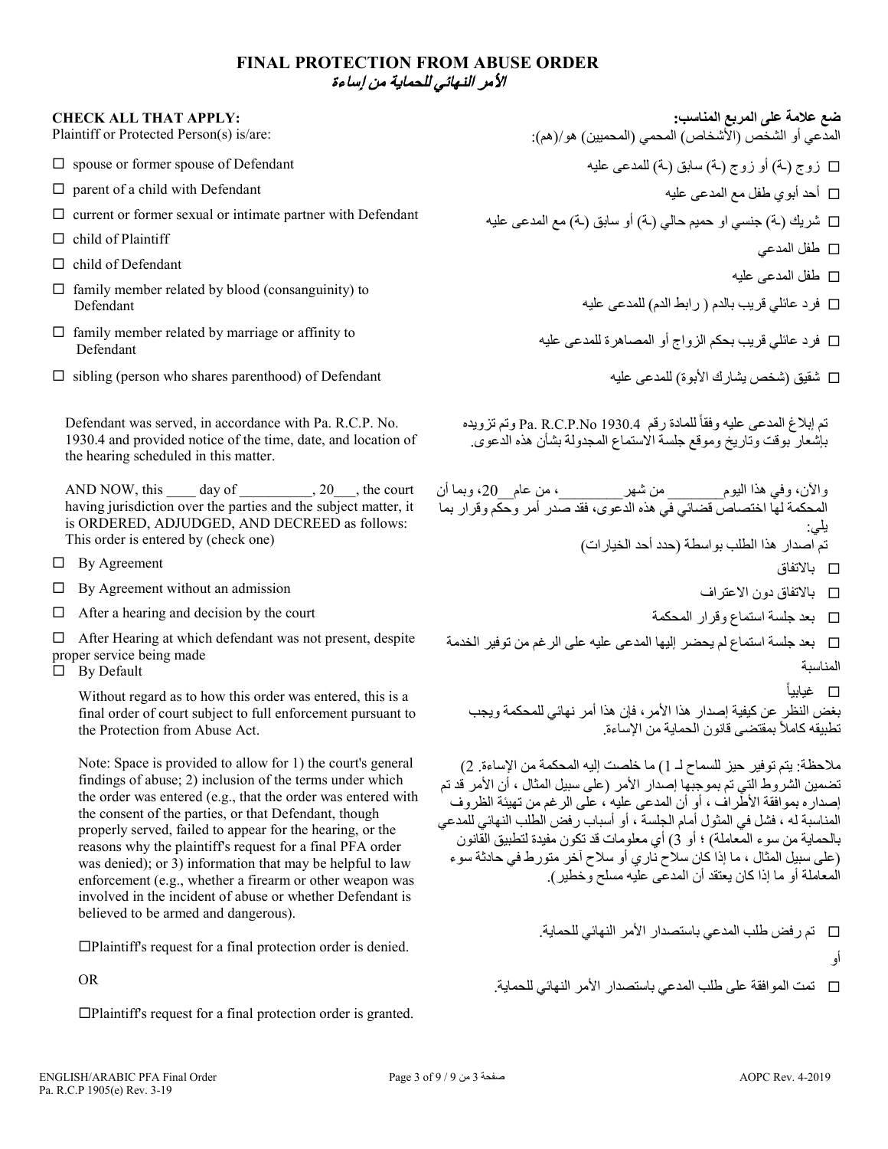## **FINAL PROTECTION FROM ABUSE ORDER**  الأمر النھائي للحمایة من إساءة

#### **CHECK ALL THAT APPLY:**

Plaintiff or Protected Person(s) is/are:

- $\square$  spouse or former spouse of Defendant
- $\square$  parent of a child with Defendant
- $\square$  current or former sexual or intimate partner with Defendant
- $\Box$  child of Plaintiff
- $\square$  child of Defendant
- $\Box$  family member related by blood (consanguinity) to Defendant
- $\Box$  family member related by marriage or affinity to Defendant
- $\square$  sibling (person who shares parenthood) of Defendant

Defendant was served, in accordance with Pa. R.C.P. No. 1930.4 and provided notice of the time, date, and location of the hearing scheduled in this matter.

AND NOW, this  $\_\_\_\_$  day of  $\_\_\_\_\_$ , 20 $\_\_\_\$ , the court having jurisdiction over the parties and the subject matter, it is ORDERED, ADJUDGED, AND DECREED as follows: This order is entered by (check one)

 $\Box$  By Agreement

- $\Box$  By Agreement without an admission
- $\Box$  After a hearing and decision by the court

 $\Box$  After Hearing at which defendant was not present, despite proper service being made

 $\Box$  By Default

Without regard as to how this order was entered, this is a final order of court subject to full enforcement pursuant to the Protection from Abuse Act.

Note: Space is provided to allow for 1) the court's general findings of abuse; 2) inclusion of the terms under which the order was entered (e.g., that the order was entered with the consent of the parties, or that Defendant, though properly served, failed to appear for the hearing, or the reasons why the plaintiff's request for a final PFA order was denied); or 3) information that may be helpful to law enforcement (e.g., whether a firearm or other weapon was involved in the incident of abuse or whether Defendant is believed to be armed and dangerous).

Plaintiff's request for a final protection order is denied.

OR

Plaintiff's request for a final protection order is granted.

**ضع علامة على المربع المناسب:** المدعي أو الشخص (الأشخاص) المحمي (المحمیین) ھو/(ھم): زوج (ـة) أو زوج (ـة) سابق (ـة) للمدعى علیھ أحد أبوي طفل مع المدعى علیھ شریك (ـة) جنسي او حمیم حالي (ـة) أو سابق (ـة) مع المدعى علیھ طفل المدعي طفل المدعى علیھ فرد عائلي قریب بالدم ( رابط الدم) للمدعى علیھ

فرد عائلي قریب بحكم الزواج أو المصاھرة للمدعى علیھ

شقیق (شخص یشارك الأبوة) للمدعى علیھ

تم إبلاغ المدعى عليه وفقاً للمادة رقم 1930.4 Pa. R.C.P.No وتم تزويده بإشعار بوقت وتاریخ وموقع جلسة الاستماع المجدولة بشأن ھذه الدعوى.

- والآن، وفي ھذا الیوم\_\_\_\_\_\_\_ من شھر\_\_\_\_\_\_\_\_، من عام\_\_،20 وبما أن المحكمة لھا اختصاص قضائي في ھذه الدعوى، فقد صدر أمر وحكم وقرار بما یلي: تم اصدار ھذا الطلب بواسطة (حدد أحد الخیارات)
	- بالاتفاق
	- بالاتفاق دون الاعتراف
	- بعد جلسة استماع وقرار المحكمة
- بعد جلسة استماع لم يحضر إليها المدعى عليه على الرغم من توفير الخدمة  $\Box$ المناسبة

ً غیابیاً  $\Box$ بغض النظر عن كیفیة إصدار ھذا الأمر، فإن ھذا أمر نھائي للمحكمة ویجب تطبيقه كاملاً بمقتضىي قانون الحماية من الإساءة.

ملاحظة: یتم توفیر حیز للسماح لـ 1) ما خلصت إلیھ المحكمة من الإساءة. 2) تضمین الشروط التي تم بموجبھا إصدار الأمر (على سبیل المثال ، أن الأمر قد تم إصداره بموافقة الأطراف ، أو أن المدعى علیھ ، على الرغم من تھیئة الظروف المناسبة لھ ، فشل في المثول أمام الجلسة ، أو أسباب رفض الطلب النھائي للمدعي بالحمایة من سوء المعاملة) ؛ أو 3) أي معلومات قد تكون مفیدة لتطبیق القانون (على سبیل المثال ، ما إذا كان سلاح ناري أو سلاح آخر متورط في حادثة سوء المعاملة أو ما إذا كان یعتقد أن المدعى علیھ مسلح وخطیر).

- تم رفض طلب المدعي باستصدار الأمر النھائي للحمایة.
	- أو

تمت الموافقة على طلب المدعي باستصدار الأمر النھائي للحمایة.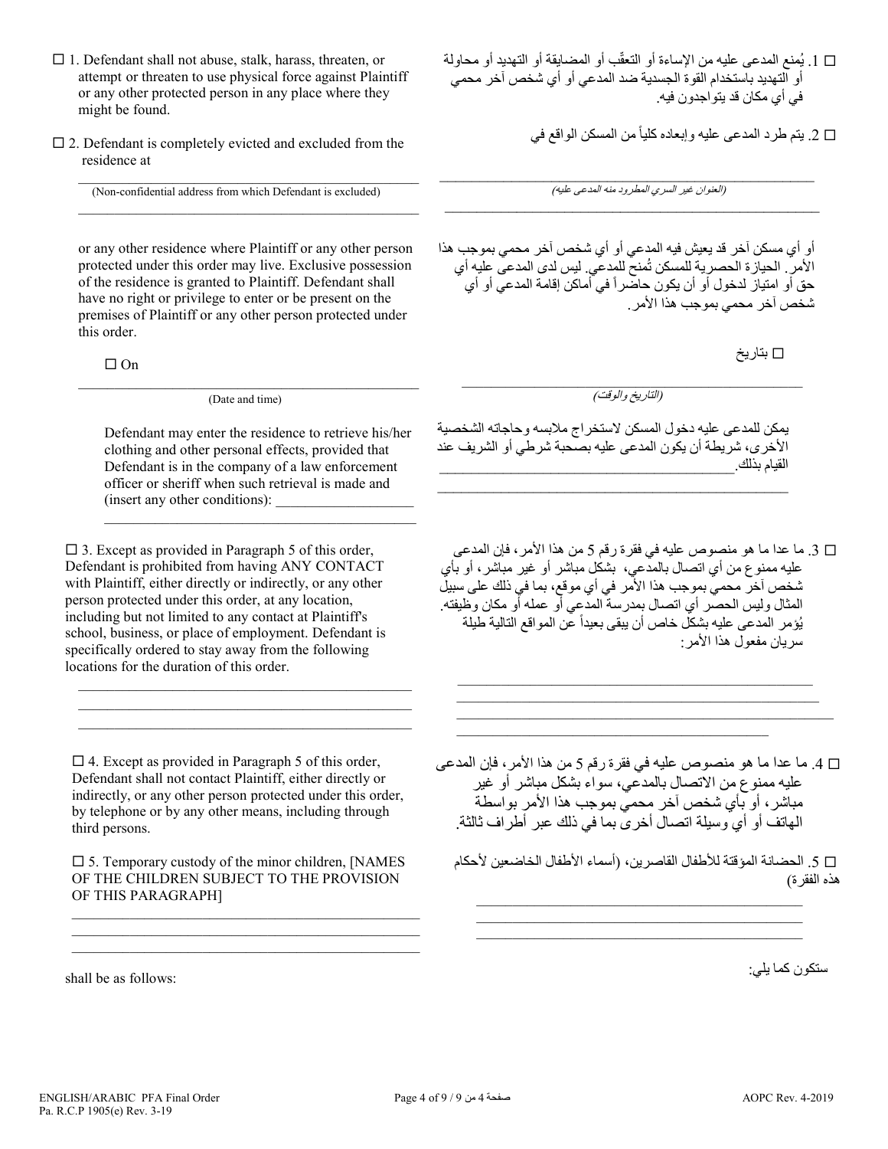- $\Box$  1. Defendant shall not abuse, stalk, harass, threaten, or attempt or threaten to use physical force against Plaintiff or any other protected person in any place where they might be found.
- $\square$  2. Defendant is completely evicted and excluded from the residence at

(Non-confidential address from which Defendant is excluded)

 $\mathcal{L}_\text{max}$  and  $\mathcal{L}_\text{max}$  and  $\mathcal{L}_\text{max}$  and  $\mathcal{L}_\text{max}$  and  $\mathcal{L}_\text{max}$ 

\_\_\_\_\_\_\_\_\_\_\_\_\_\_\_\_\_\_\_\_\_\_\_\_\_\_\_\_\_\_\_\_\_\_\_\_\_\_\_\_\_\_\_\_\_\_\_

or any other residence where Plaintiff or any other person protected under this order may live. Exclusive possession of the residence is granted to Plaintiff. Defendant shall have no right or privilege to enter or be present on the premises of Plaintiff or any other person protected under this order.

 $\Box$  On

\_\_\_\_\_\_\_\_\_\_\_\_\_\_\_\_\_\_\_\_\_\_\_\_\_\_\_\_\_\_\_\_\_\_\_\_\_\_\_\_\_\_\_\_\_\_\_ (Date and time)

Defendant may enter the residence to retrieve his/her clothing and other personal effects, provided that Defendant is in the company of a law enforcement officer or sheriff when such retrieval is made and (insert any other conditions):

 $\_$  . The contribution of the contribution of  $\mathcal{L}_\mathcal{A}$ 

 $\square$  3. Except as provided in Paragraph 5 of this order, Defendant is prohibited from having ANY CONTACT with Plaintiff, either directly or indirectly, or any other person protected under this order, at any location, including but not limited to any contact at Plaintiff's school, business, or place of employment. Defendant is specifically ordered to stay away from the following locations for the duration of this order.

 $\square$  4. Except as provided in Paragraph 5 of this order, Defendant shall not contact Plaintiff, either directly or indirectly, or any other person protected under this order, by telephone or by any other means, including through third persons.

 $\mathcal{L}_\mathcal{L}$  , and the set of the set of the set of the set of the set of the set of the set of the set of the set of the set of the set of the set of the set of the set of the set of the set of the set of the set of th  $\mathcal{L}_\mathcal{L}$  , and the set of the set of the set of the set of the set of the set of the set of the set of the set of the set of the set of the set of the set of the set of the set of the set of the set of the set of th  $\mathcal{L}_\mathcal{L}$  , and the set of the set of the set of the set of the set of the set of the set of the set of the set of the set of the set of the set of the set of the set of the set of the set of the set of the set of th

 $\square$  5. Temporary custody of the minor children, [NAMES] OF THE CHILDREN SUBJECT TO THE PROVISION OF THIS PARAGRAPH]

 $\mathcal{L}_\text{max}$  and  $\mathcal{L}_\text{max}$  and  $\mathcal{L}_\text{max}$  and  $\mathcal{L}_\text{max}$  and  $\mathcal{L}_\text{max}$  $\mathcal{L}_\text{max}$  and  $\mathcal{L}_\text{max}$  and  $\mathcal{L}_\text{max}$  and  $\mathcal{L}_\text{max}$  and  $\mathcal{L}_\text{max}$  $\mathcal{L}_\mathcal{L} = \{ \mathcal{L}_\mathcal{L} = \{ \mathcal{L}_\mathcal{L} = \{ \mathcal{L}_\mathcal{L} = \{ \mathcal{L}_\mathcal{L} = \{ \mathcal{L}_\mathcal{L} = \{ \mathcal{L}_\mathcal{L} = \{ \mathcal{L}_\mathcal{L} = \{ \mathcal{L}_\mathcal{L} = \{ \mathcal{L}_\mathcal{L} = \{ \mathcal{L}_\mathcal{L} = \{ \mathcal{L}_\mathcal{L} = \{ \mathcal{L}_\mathcal{L} = \{ \mathcal{L}_\mathcal{L} = \{ \mathcal{L}_\mathcal{$ 

shall be as follows:

□ 1. يُمنع المدعى عليه من الإساءة أو التعقّب أو المضايقة أو التهديد أو محاولة أو التھدید باستخدام القوة الجسدیة ضد المدعي أو أي شخص آخر محمي في أي مكان قد یتواجدون فیھ.

□ 2. يتم طرد المدعى عليه وإبعاده كلياً من المسكن الواقع في

(العنوان غیر السري المطرود منھ المدعى علیھ) \_\_\_\_\_\_\_\_\_\_\_\_\_\_\_\_\_\_\_\_\_\_\_\_\_\_\_\_\_\_\_\_\_\_\_\_\_\_\_\_\_\_\_\_\_\_\_  $\mathcal{L}_\text{max}$  , and the contract of the contract of the contract of the contract of the contract of the contract of the contract of the contract of the contract of the contract of the contract of the contract of the contr

أو أي مسكن آخر قد یعیش فیھ المدعي أو أي شخص آخر محمي بموجب ھذا الأمر . الحياز ة الحصر ية للمسكن ثُمنح للمدعي. ليس لدى المدعى عليه أي حق أو امتیاز لدخول أو أن یكون حاضرا أماكن إقامة المدعي أو أي ً في شخص آخر محمي بموجب ھذا الأمر.

بتاریخ

\_\_\_\_\_\_\_\_\_\_\_\_\_\_\_\_\_\_\_\_\_\_\_\_\_\_\_\_\_\_\_\_\_\_\_\_\_\_\_\_\_\_\_\_\_\_\_ (التاریخ والوقت)

یمكن للمدعى علیھ دخول المسكن لاستخراج ملابسھ وحاجاتھ الشخصیة الأخرى، شریطة أن یكون المدعى علیھ بصحبة شرطي أو الشریف عند القيام بذلك.

 $\mathcal{L}_\text{max}$  , and the contract of the contract of the contract of the contract of the contract of the contract of the contract of the contract of the contract of the contract of the contract of the contract of the contr

 .3 ما عدا ما ھو منصوص علیھ في فقرة رقم 5 من ھذا الأمر، فإن المدعى علیھ ممنوع من أي اتصال بالمدعي، بشكل مباشر أو غیر مباشر، أو بأي شخص آخر محمي بموجب ھذا الأمر في أي موقع، بما في ذلك على سبیل سمندس سے سے بتر سے اللہ عمل من اللہ على اللہ عملہ أو مكان وظیفته.<br>المثال ولیس الحصر أي اتصال بمدرسة المدعي أو عمله أو مكان وظیفته. يُؤمر المدعى عليه بشكل خاص أن يبقى بعيداً عن المواقع التالية طيلة سریان مفعول ھذا الأمر:

 $\mathcal{L}_\text{max}$  and  $\mathcal{L}_\text{max}$  and  $\mathcal{L}_\text{max}$  and  $\mathcal{L}_\text{max}$  and  $\mathcal{L}_\text{max}$ \_\_\_\_\_\_\_\_\_\_\_\_\_\_\_\_\_\_\_\_\_\_\_\_\_\_\_\_\_\_\_\_\_\_\_\_\_\_\_\_\_\_\_\_\_\_\_\_\_\_ \_\_\_\_\_\_\_\_\_\_\_\_\_\_\_\_\_\_\_\_\_\_\_\_\_\_\_\_\_\_\_\_\_\_\_\_\_\_\_\_\_\_\_\_\_\_\_\_\_\_\_\_

\_\_\_\_\_\_\_\_\_\_\_\_\_\_\_\_\_\_\_\_\_\_\_\_\_\_\_\_\_\_\_\_\_\_\_\_\_\_\_\_\_\_\_

 .4 ما عدا ما ھو منصوص علیھ في فقرة رقم 5 من ھذا الأمر، فإن المدعى علیھ ممنوع من الاتصال بالمدعي، سواء بشكل مباشر أو غیر مباشر، أو بأي شخص آخر محمي بموجب ھذا الأمر بواسطة الھاتف أو أي وسیلة اتصال أخرى بما في ذلك عبر أطراف ثالثة.

 .5 الحضانة المؤقتة للأطفال القاصرین، (أسماء الأطفال الخاضعین لأحكام ھذه الفقرة)

 $\mathcal{L}_\mathcal{L} = \{ \mathcal{L}_\mathcal{L} = \{ \mathcal{L}_\mathcal{L} = \{ \mathcal{L}_\mathcal{L} = \{ \mathcal{L}_\mathcal{L} = \{ \mathcal{L}_\mathcal{L} = \{ \mathcal{L}_\mathcal{L} = \{ \mathcal{L}_\mathcal{L} = \{ \mathcal{L}_\mathcal{L} = \{ \mathcal{L}_\mathcal{L} = \{ \mathcal{L}_\mathcal{L} = \{ \mathcal{L}_\mathcal{L} = \{ \mathcal{L}_\mathcal{L} = \{ \mathcal{L}_\mathcal{L} = \{ \mathcal{L}_\mathcal{$  $\mathcal{L}_\mathcal{L} = \{ \mathcal{L}_\mathcal{L} = \{ \mathcal{L}_\mathcal{L} = \{ \mathcal{L}_\mathcal{L} = \{ \mathcal{L}_\mathcal{L} = \{ \mathcal{L}_\mathcal{L} = \{ \mathcal{L}_\mathcal{L} = \{ \mathcal{L}_\mathcal{L} = \{ \mathcal{L}_\mathcal{L} = \{ \mathcal{L}_\mathcal{L} = \{ \mathcal{L}_\mathcal{L} = \{ \mathcal{L}_\mathcal{L} = \{ \mathcal{L}_\mathcal{L} = \{ \mathcal{L}_\mathcal{L} = \{ \mathcal{L}_\mathcal{$  $\mathcal{L}_\text{max}$  and  $\mathcal{L}_\text{max}$  and  $\mathcal{L}_\text{max}$  and  $\mathcal{L}_\text{max}$  and  $\mathcal{L}_\text{max}$ 

ستكون كما یلي: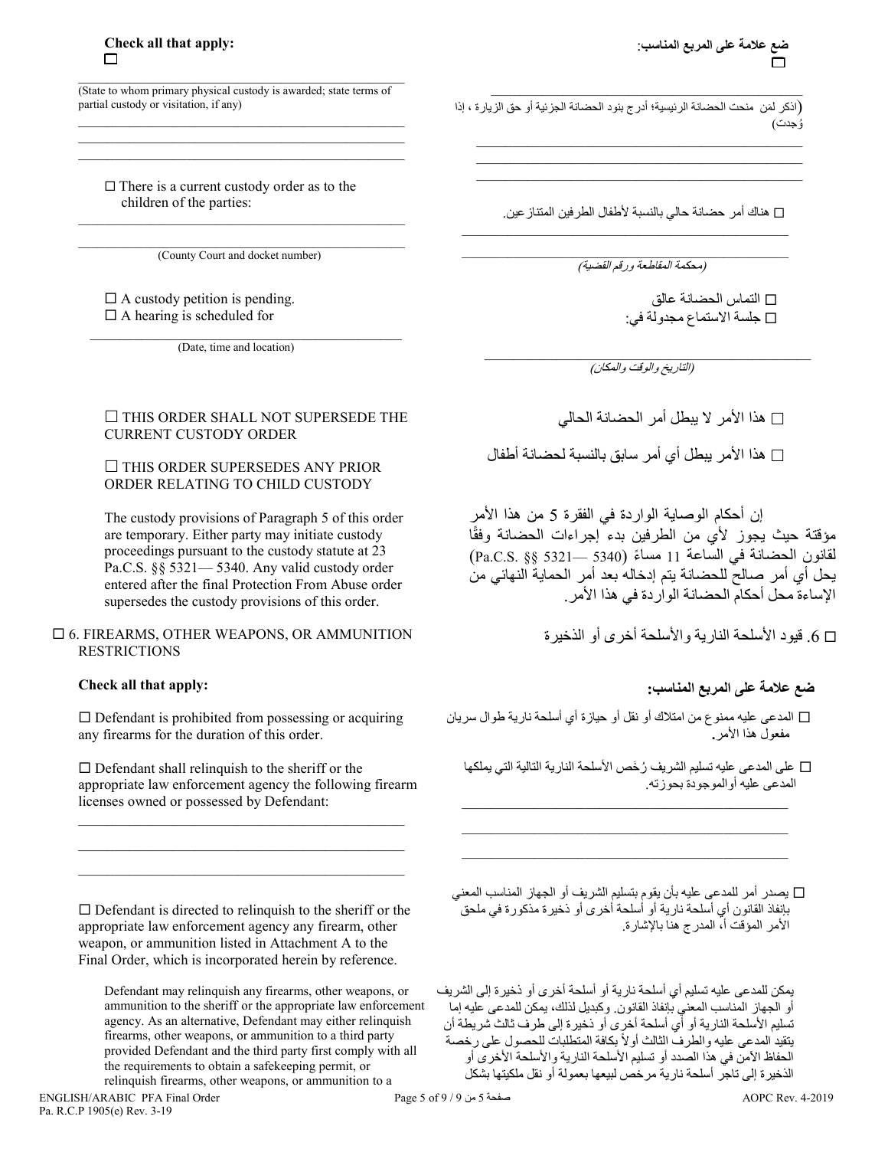\_\_\_\_\_\_\_\_\_\_\_\_\_\_\_\_\_\_\_\_\_\_\_\_\_\_\_\_\_\_\_\_\_\_\_\_\_\_\_\_\_\_\_\_\_ (State to whom primary physical custody is awarded; state terms of partial custody or visitation, if any) \_\_\_\_\_\_\_\_\_\_\_\_\_\_\_\_\_\_\_\_\_\_\_\_\_\_\_\_\_\_\_\_\_\_\_\_\_\_\_\_\_\_\_\_\_

 $\mathcal{L}_\text{max}$  and  $\mathcal{L}_\text{max}$  and  $\mathcal{L}_\text{max}$  and  $\mathcal{L}_\text{max}$  and  $\mathcal{L}_\text{max}$  $\mathcal{L}_\text{max}$  and  $\mathcal{L}_\text{max}$  and  $\mathcal{L}_\text{max}$  and  $\mathcal{L}_\text{max}$  and  $\mathcal{L}_\text{max}$ 

 $\Box$  There is a current custody order as to the children of the parties:

(County Court and docket number)

\_\_\_\_\_\_\_\_\_\_\_\_\_\_\_\_\_\_\_\_\_\_\_\_\_\_\_\_\_\_\_\_\_\_\_\_\_\_\_\_\_\_\_\_\_\_\_\_\_\_

 $\Box$  A custody petition is pending.  $\Box$  A hearing is scheduled for

\_\_\_\_\_\_\_\_\_\_\_\_\_\_\_\_\_\_\_\_\_\_\_\_\_\_\_\_\_\_\_\_\_\_\_\_\_\_\_\_\_\_\_ (Date, time and location)

## $\Box$  THIS ORDER SHALL NOT SUPERSEDE THE CURRENT CUSTODY ORDER

### $\Box$  THIS ORDER SUPERSEDES ANY PRIOR ORDER RELATING TO CHILD CUSTODY

The custody provisions of Paragraph 5 of this order are temporary. Either party may initiate custody proceedings pursuant to the custody statute at 23 Pa.C.S. §§ 5321— 5340. Any valid custody order entered after the final Protection From Abuse order supersedes the custody provisions of this order.

### 6. FIREARMS, OTHER WEAPONS, OR AMMUNITION RESTRICTIONS

# **Check all that apply:**

 $\square$  Defendant is prohibited from possessing or acquiring any firearms for the duration of this order.

 $\square$  Defendant shall relinquish to the sheriff or the appropriate law enforcement agency the following firearm licenses owned or possessed by Defendant:

 $\mathcal{L}_\mathcal{L} = \{ \mathcal{L}_\mathcal{L} = \{ \mathcal{L}_\mathcal{L} = \{ \mathcal{L}_\mathcal{L} = \{ \mathcal{L}_\mathcal{L} = \{ \mathcal{L}_\mathcal{L} = \{ \mathcal{L}_\mathcal{L} = \{ \mathcal{L}_\mathcal{L} = \{ \mathcal{L}_\mathcal{L} = \{ \mathcal{L}_\mathcal{L} = \{ \mathcal{L}_\mathcal{L} = \{ \mathcal{L}_\mathcal{L} = \{ \mathcal{L}_\mathcal{L} = \{ \mathcal{L}_\mathcal{L} = \{ \mathcal{L}_\mathcal{$  $\mathcal{L}_\text{max}$  and  $\mathcal{L}_\text{max}$  and  $\mathcal{L}_\text{max}$  and  $\mathcal{L}_\text{max}$  $\mathcal{L}_\text{max}$  and  $\mathcal{L}_\text{max}$  and  $\mathcal{L}_\text{max}$  and  $\mathcal{L}_\text{max}$ 

 $\square$  Defendant is directed to relinquish to the sheriff or the appropriate law enforcement agency any firearm, other weapon, or ammunition listed in Attachment A to the Final Order, which is incorporated herein by reference.

Defendant may relinquish any firearms, other weapons, or ammunition to the sheriff or the appropriate law enforcement agency. As an alternative, Defendant may either relinquish firearms, other weapons, or ammunition to a third party provided Defendant and the third party first comply with all the requirements to obtain a safekeeping permit, or relinquish firearms, other weapons, or ammunition to a

(اذكر لَمَن منحت الحضانة الرئيسية؛ أدرج بنود الحضانة الجزئية أو حق الزيارة ، إذا ُوجدت)

 $\mathcal{L}=\frac{1}{2} \sum_{i=1}^{n} \frac{1}{2} \sum_{i=1}^{n} \frac{1}{2} \sum_{i=1}^{n} \frac{1}{2} \sum_{i=1}^{n} \frac{1}{2} \sum_{i=1}^{n} \frac{1}{2} \sum_{i=1}^{n} \frac{1}{2} \sum_{i=1}^{n} \frac{1}{2} \sum_{i=1}^{n} \frac{1}{2} \sum_{i=1}^{n} \frac{1}{2} \sum_{i=1}^{n} \frac{1}{2} \sum_{i=1}^{n} \frac{1}{2} \sum_{i=1}^{n} \frac{1}{2} \sum_{$ 

 $\mathcal{L}_\text{max}$  and  $\mathcal{L}_\text{max}$  and  $\mathcal{L}_\text{max}$  and  $\mathcal{L}_\text{max}$  and  $\mathcal{L}_\text{max}$  $\mathcal{L}_\mathcal{L} = \{ \mathcal{L}_\mathcal{L} = \{ \mathcal{L}_\mathcal{L} = \{ \mathcal{L}_\mathcal{L} = \{ \mathcal{L}_\mathcal{L} = \{ \mathcal{L}_\mathcal{L} = \{ \mathcal{L}_\mathcal{L} = \{ \mathcal{L}_\mathcal{L} = \{ \mathcal{L}_\mathcal{L} = \{ \mathcal{L}_\mathcal{L} = \{ \mathcal{L}_\mathcal{L} = \{ \mathcal{L}_\mathcal{L} = \{ \mathcal{L}_\mathcal{L} = \{ \mathcal{L}_\mathcal{L} = \{ \mathcal{L}_\mathcal{$  $\mathcal{L}_\mathcal{L} = \{ \mathcal{L}_\mathcal{L} = \{ \mathcal{L}_\mathcal{L} = \{ \mathcal{L}_\mathcal{L} = \{ \mathcal{L}_\mathcal{L} = \{ \mathcal{L}_\mathcal{L} = \{ \mathcal{L}_\mathcal{L} = \{ \mathcal{L}_\mathcal{L} = \{ \mathcal{L}_\mathcal{L} = \{ \mathcal{L}_\mathcal{L} = \{ \mathcal{L}_\mathcal{L} = \{ \mathcal{L}_\mathcal{L} = \{ \mathcal{L}_\mathcal{L} = \{ \mathcal{L}_\mathcal{L} = \{ \mathcal{L}_\mathcal{$ 

ھناك أمر حضانة حالي بالنسبة لأطفال الطرفین المتنازعین.

\_\_\_\_\_\_\_\_\_\_\_\_\_\_\_\_\_\_\_\_\_\_\_\_\_\_\_\_\_\_\_\_\_\_\_\_\_\_\_\_\_\_\_\_\_\_\_\_\_\_

\_\_\_\_\_\_\_\_\_\_\_\_\_\_\_\_\_\_\_\_\_\_\_\_\_\_\_\_\_\_\_\_\_\_\_\_\_\_\_\_\_\_\_\_\_\_\_\_\_\_ (محكمة المقاطعة ورقم القضیة)

> التماس الحضانة عالق جلسة الاستماع مجدولة في:

 $\mathcal{L}_\mathcal{L}$  , and the set of the set of the set of the set of the set of the set of the set of the set of the set of the set of the set of the set of the set of the set of the set of the set of the set of the set of th (التاریخ والوقت والمكان)

ھذا الأمر لا یبطل أمر الحضانة الحالي

ھذا الأمر یبطل أي أمر سابق بالنسبة لحضانة أطفال

إن أحكام الوصایة الواردة في الفقرة 5 من ھذا الأمر مؤقتة حيث يجوز لأي من الطرفين بدء إجراءات الحضانة وفقًا ً مساء (5340 —5321 §§ .S.C.Pa (لقانون الحضانة في الساعة 11 یحل أي أمر صالح للحضانة یتم إدخالھ بعد أمر الحمایة النھائي من الإساءة محل أحكام الحضانة الواردة في ھذا الأمر.

.6 قیود الأسلحة الناریة والأسلحة أخرى أو الذخیرة

# **ضع علامة على المربع المناسب:**

- المدعى علیھ ممنوع من امتلاك أو نقل أو حیازة أي أسلحة ناریة طوال سریان مفعول ھذا الأمر**.**
	- على المدعى علیھ تسلیم الشریف ُرخَص الأسلحة الناریة التالیة التي یملكھا المدعى علیھ أوالموجودة بحوزتھ.

\_\_\_\_\_\_\_\_\_\_\_\_\_\_\_\_\_\_\_\_\_\_\_\_\_\_\_\_\_\_\_\_\_\_\_\_\_\_\_\_\_\_\_\_\_ \_\_\_\_\_\_\_\_\_\_\_\_\_\_\_\_\_\_\_\_\_\_\_\_\_\_\_\_\_\_\_\_\_\_\_\_\_\_\_\_\_\_\_\_\_ \_\_\_\_\_\_\_\_\_\_\_\_\_\_\_\_\_\_\_\_\_\_\_\_\_\_\_\_\_\_\_\_\_\_\_\_\_\_\_\_\_\_\_\_\_

 یصدر أمر للمدعى علیھ بأن یقوم بتسلیم الشریف أو الجھاز المناسب المعني بإنفاذ القانون أي أسلحة ناریة أو أسلحة أخرى أو ذخیرة مذكورة في ملحق الأمر المؤقت أ، المدرج ھنا بالإشارة.

یمكن للمدعى علیھ تسلیم أي أسلحة ناریة أو أسلحة أخرى أو ذخیرة إلى الشریف أو الجھاز المناسب المعني بإنفاذ القانون. وكبدیل لذلك، یمكن للمدعى علیھ إما تسلیم الأسلحة الناریة أو أي أسلحة أخرى أو ذخیرة إلى طرف ثالث شریطة أن يتقيد المدعي عليه والطرف الثالث أولاً بكافة المنطلبات للحصول على رخصة الحفاظ الآمن في ھذا الصدد أو تسلیم الأسلحة الناریة والأسلحة الأخرى أو الذخیرة إلى تاجر أسلحة ناریة مرخص لبیعھا بعمولة أو نقل ملكیتھا بشكل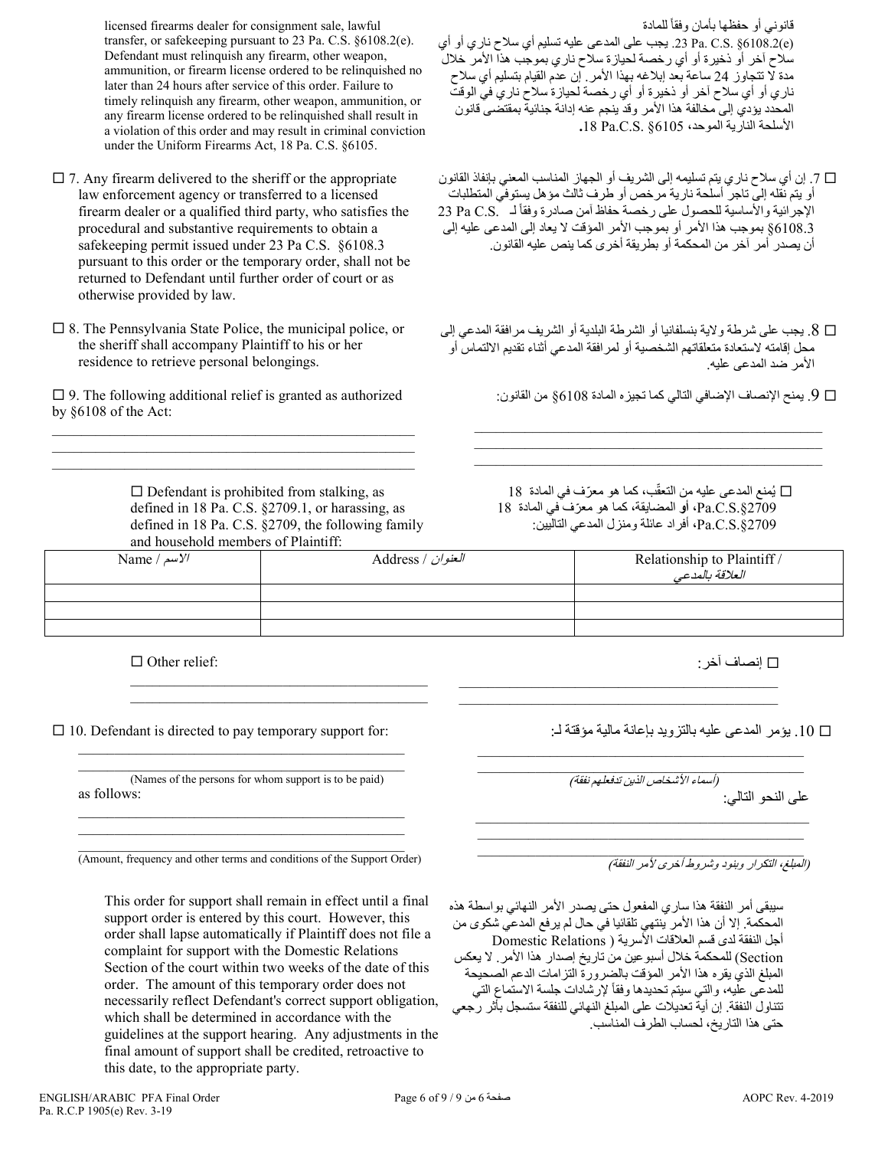licensed firearms dealer for consignment sale, lawful transfer, or safekeeping pursuant to 23 Pa. C.S. §6108.2(e). Defendant must relinquish any firearm, other weapon, ammunition, or firearm license ordered to be relinquished no later than 24 hours after service of this order. Failure to timely relinquish any firearm, other weapon, ammunition, or any firearm license ordered to be relinquished shall result in a violation of this order and may result in criminal conviction under the Uniform Firearms Act, 18 Pa. C.S. §6105.

- $\square$  7. Any firearm delivered to the sheriff or the appropriate law enforcement agency or transferred to a licensed firearm dealer or a qualified third party, who satisfies the procedural and substantive requirements to obtain a safekeeping permit issued under 23 Pa C.S. §6108.3 pursuant to this order or the temporary order, shall not be returned to Defendant until further order of court or as otherwise provided by law.
- $\square$  8. The Pennsylvania State Police, the municipal police, or the sheriff shall accompany Plaintiff to his or her residence to retrieve personal belongings.

 $\square$  9. The following additional relief is granted as authorized by §6108 of the Act: \_\_\_\_\_\_\_\_\_\_\_\_\_\_\_\_\_\_\_\_\_\_\_\_\_\_\_\_\_\_\_\_\_\_\_\_\_\_\_\_\_\_\_\_\_\_\_\_\_\_

\_\_\_\_\_\_\_\_\_\_\_\_\_\_\_\_\_\_\_\_\_\_\_\_\_\_\_\_\_\_\_\_\_\_\_\_\_\_\_\_\_\_\_\_\_\_\_\_\_\_ \_\_\_\_\_\_\_\_\_\_\_\_\_\_\_\_\_\_\_\_\_\_\_\_\_\_\_\_\_\_\_\_\_\_\_\_\_\_\_\_\_\_\_\_\_\_\_\_\_\_

> $\square$  Defendant is prohibited from stalking, as defined in 18 Pa. C.S. §2709.1, or harassing, as defined in 18 Pa. C.S. §2709, the following family and household members of Plaintiff:

> $\mathcal{L}_\mathcal{L}$  , which is a set of the set of the set of the set of the set of the set of the set of the set of the set of the set of the set of the set of the set of the set of the set of the set of the set of the set of  $\mathcal{L}_\mathcal{L}$  , which is a set of the set of the set of the set of the set of the set of the set of the set of the set of the set of the set of the set of the set of the set of the set of the set of the set of the set of

قانوني أو حفظها بأمان وفقأ للمادة (e(6108.2 §.S.C .Pa .23 یجب على المدعى علیھ تسلیم أي سلاح ناري أو أي سلاح آخر أو ذخیرة أو أي رخصة لحیازة سلاح ناري بموجب ھذا الأمر خلال مدة لا تتجاوز 24 ساعة بعد إبلاغھ بھذا الأمر. إن عدم القیام بتسلیم أي سلاح ناري أو أي سلاح آخر أو ذخیرة أو أي رخصة لحیازة سلاح ناري في الوقت المحدد یؤدي إلى مخالفة ھذا الأمر وقد ینجم عنھ إدانة جنائیة بمقتضى قانون الأسلحة الناریة الموحد، 6105§ .S.C.Pa **.**18

- .7 إن أي سلاح ناري یتم تسلیمھ إلى الشریف أو الجھاز المناسب المعني بإنفاذ القانون أو یتم نقلھ إلى تاجر أسلحة ناریة مرخص أو طرف ثالث مؤھل یستوفي المتطلبات الإجرائية والأساسية للحصول على رخصة حفاظ آمن صادرة وفقاً لـ .23 Pa C.S 6108.3§ بموجب ھذا الأمر أو بموجب الأمر المؤقت لا یعاد إلى المدعى علیھ إلى أن یصدر أمر آخر من المحكمة أو بطریقة أخرى كما ینص علیھ القانون.
- .8 یجب على شرطة ولایة بنسلفانیا أو الشرطة البلدیة أو الشریف مرافقة المدعي إلى محل إقامتھ لاستعادة متعلقاتھم الشخصیة أو لمرافقة المدعي أثناء تقدیم الالتماس أو الأمر ضد المدعى علیھ.

 $\mathcal{L}_\text{max}$  , and the set of the set of the set of the set of the set of the set of the set of the set of the set of the set of the set of the set of the set of the set of the set of the set of the set of the set of the  $\mathcal{L}_\text{max}$  and  $\mathcal{L}_\text{max}$  and  $\mathcal{L}_\text{max}$  and  $\mathcal{L}_\text{max}$  and  $\mathcal{L}_\text{max}$  $\mathcal{L}_\text{max}$  and  $\mathcal{L}_\text{max}$  and  $\mathcal{L}_\text{max}$  and  $\mathcal{L}_\text{max}$  and  $\mathcal{L}_\text{max}$ 

.9 یمنح الإنصاف الإضافي التالي كما تجیزه المادة 6108§ من القانون:

□ يُمنع المدعى عليه من التعقّب، كما هو معرّف في المادة 18 2709§.S.C.Pa**، أو** المضایقة ّ ، كما ھو معرف في المادة 18 2709§.S.C.Pa**،** أفراد عائلة ومنزل المدعي التالیین:

| and nousehold members of Plainuit. |                   |                                                |
|------------------------------------|-------------------|------------------------------------------------|
| Name / $\mu$ / $\mu$               | Address / العنوان | Relationship to Plaintiff /<br>العلاقة بالمدعى |
|                                    |                   |                                                |
|                                    |                   |                                                |
|                                    |                   |                                                |

 $\Box$  Other relief:

 $\Box$  10. Defendant is directed to pay temporary support for:

\_\_\_\_\_\_\_\_\_\_\_\_\_\_\_\_\_\_\_\_\_\_\_\_\_\_\_\_\_\_\_\_\_\_\_\_\_\_\_\_\_\_\_\_\_ (Names of the persons for whom support is to be paid) as follows: \_\_\_\_\_\_\_\_\_\_\_\_\_\_\_\_\_\_\_\_\_\_\_\_\_\_\_\_\_\_\_\_\_\_\_\_\_\_\_\_\_\_\_\_\_

 $\mathcal{L}_\text{max}$  and  $\mathcal{L}_\text{max}$  and  $\mathcal{L}_\text{max}$  and  $\mathcal{L}_\text{max}$  and  $\mathcal{L}_\text{max}$ 

\_\_\_\_\_\_\_\_\_\_\_\_\_\_\_\_\_\_\_\_\_\_\_\_\_\_\_\_\_\_\_\_\_\_\_\_\_\_\_\_\_\_\_\_\_

\_\_\_\_\_\_\_\_\_\_\_\_\_\_\_\_\_\_\_\_\_\_\_\_\_\_\_\_\_\_\_\_\_\_\_\_\_\_\_\_\_\_\_\_\_ (Amount, frequency and other terms and conditions of the Support Order)

This order for support shall remain in effect until a final support order is entered by this court. However, this order shall lapse automatically if Plaintiff does not file a complaint for support with the Domestic Relations Section of the court within two weeks of the date of this order. The amount of this temporary order does not necessarily reflect Defendant's correct support obligation, which shall be determined in accordance with the guidelines at the support hearing. Any adjustments in the final amount of support shall be credited, retroactive to this date, to the appropriate party.

إنصاف آخر:

.10 یؤمر المدعى علیھ بالتزوید بإعانة مالیة مؤقتة لـ:

 $\overline{a_1}$  ,  $\overline{a_2}$  ,  $\overline{a_3}$  ,  $\overline{a_4}$  ,  $\overline{a_5}$  ,  $\overline{a_6}$  ,  $\overline{a_7}$  ,  $\overline{a_8}$  ,  $\overline{a_9}$  ,  $\overline{a_9}$  ,  $\overline{a_9}$  ,  $\overline{a_9}$  ,  $\overline{a_9}$  ,  $\overline{a_9}$  ,  $\overline{a_9}$  ,  $\overline{a_9}$  ,  $\overline{a_9}$  , (أسماء الأشخاص الذین تدفعلھم نفقة)

 $\overline{a_1}$  , and the set of the set of the set of the set of the set of the set of the set of the set of the set of the set of the set of the set of the set of the set of the set of the set of the set of the set of the se \_\_\_\_\_\_\_\_\_\_\_\_\_\_\_\_\_\_\_\_\_\_\_\_\_\_\_\_\_\_\_\_\_\_\_\_\_\_\_\_\_\_\_\_\_

\_\_\_\_\_\_\_\_\_\_\_\_\_\_\_\_\_\_\_\_\_\_\_\_\_\_\_\_\_\_\_\_\_\_\_\_\_\_\_\_\_\_\_\_\_

\_\_\_\_\_\_\_\_\_\_\_\_\_\_\_\_\_\_\_\_\_\_\_\_\_\_\_\_\_\_\_\_\_\_\_\_\_\_\_\_\_\_\_\_ \_\_\_\_\_\_\_\_\_\_\_\_\_\_\_\_\_\_\_\_\_\_\_\_\_\_\_\_\_\_\_\_\_\_\_\_\_\_\_\_\_\_\_\_

على النحو التالي:

\_\_\_\_\_\_\_\_\_\_\_\_\_\_\_\_\_\_\_\_\_\_\_\_\_\_\_\_\_\_\_\_\_\_\_\_\_\_\_\_\_\_\_\_\_ (المبلغ، التكرار وبنود وشروط أخرى لأمر النفقة)

سیبقى أمر النفقة ھذا ساري المفعول حتى یصدر الأمر النھائي بواسطة ھذه المحكمة. إلا أن ھذا الأمر ینتھي تلقائیا في حال لم یرفع المدعي شكوى من أجل النفقة لدى قسم العلاقات الأسریة ( Relations Domestic Section (للمحكمة خلال أسبوعین من تاریخ إصدار ھذا الأمر. لا یعكس المبلغ الذي یقره ھذا الأمر المؤقت بالضرورة التزامات الدعم الصحیحة للمدعى علیه، والتي سیتم تحدیدها وفقاً لإرشادات جلسة الاستماع التي تتناول النفقة. إن أیة تعدیلات على المبلغ النھائي للنفقة ستسجل بأثر رجعي حتى ھذا التاریخ، لحساب الطرف المناسب.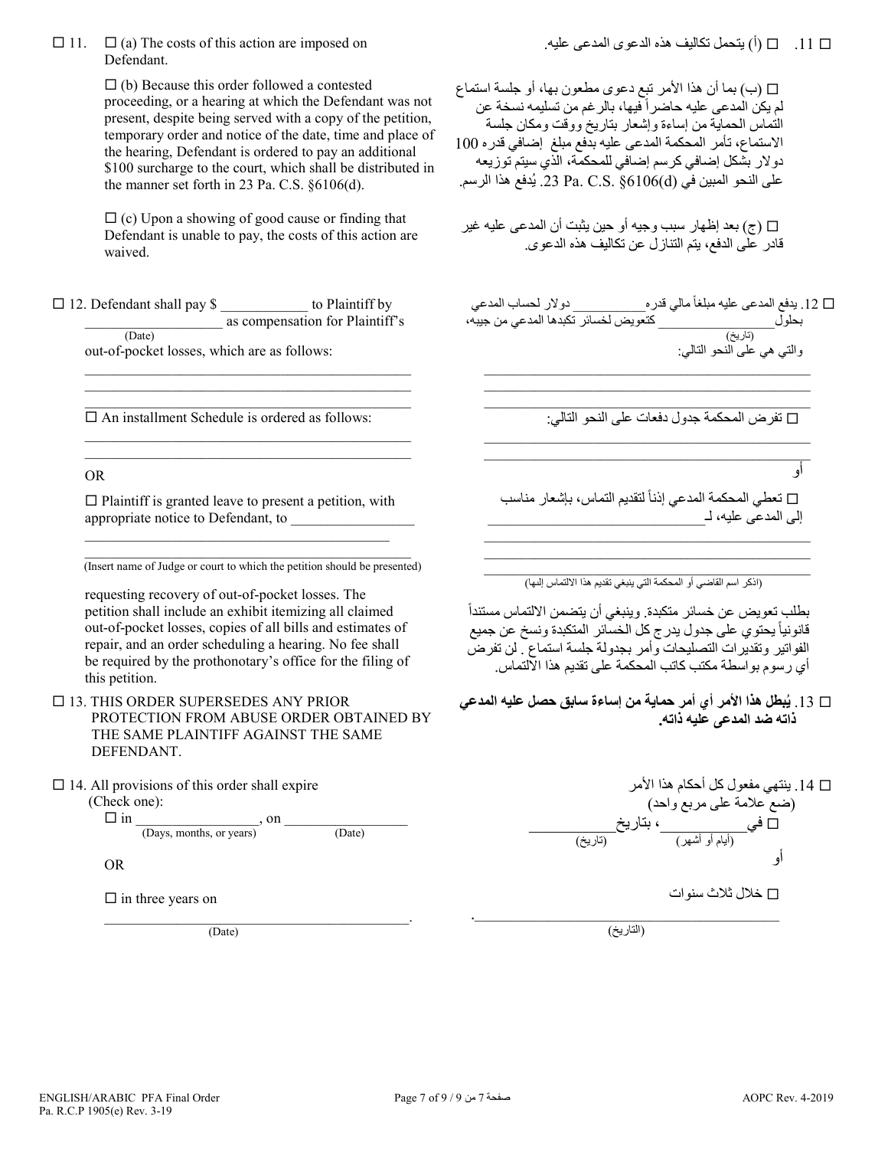$\Box$  11.  $\Box$  (a) The costs of this action are imposed on Defendant.

> $\Box$  (b) Because this order followed a contested proceeding, or a hearing at which the Defendant was not present, despite being served with a copy of the petition, temporary order and notice of the date, time and place of the hearing, Defendant is ordered to pay an additional \$100 surcharge to the court, which shall be distributed in the manner set forth in 23 Pa. C.S. §6106(d).

 $\Box$  (c) Upon a showing of good cause or finding that Defendant is unable to pay, the costs of this action are waived.

 12. Defendant shall pay \$ \_\_\_\_\_\_\_\_\_\_\_\_ to Plaintiff by  $\frac{1}{(Date)}$  as compensation for Plaintiff's

out-of-pocket losses, which are as follows:

 $\square$  An installment Schedule is ordered as follows:

 $\mathcal{L}_\mathcal{L} = \{ \mathcal{L}_\mathcal{L} = \{ \mathcal{L}_\mathcal{L} = \{ \mathcal{L}_\mathcal{L} = \{ \mathcal{L}_\mathcal{L} = \{ \mathcal{L}_\mathcal{L} = \{ \mathcal{L}_\mathcal{L} = \{ \mathcal{L}_\mathcal{L} = \{ \mathcal{L}_\mathcal{L} = \{ \mathcal{L}_\mathcal{L} = \{ \mathcal{L}_\mathcal{L} = \{ \mathcal{L}_\mathcal{L} = \{ \mathcal{L}_\mathcal{L} = \{ \mathcal{L}_\mathcal{L} = \{ \mathcal{L}_\mathcal{$  $\mathcal{L}_\mathcal{L} = \{ \mathcal{L}_\mathcal{L} = \{ \mathcal{L}_\mathcal{L} = \{ \mathcal{L}_\mathcal{L} = \{ \mathcal{L}_\mathcal{L} = \{ \mathcal{L}_\mathcal{L} = \{ \mathcal{L}_\mathcal{L} = \{ \mathcal{L}_\mathcal{L} = \{ \mathcal{L}_\mathcal{L} = \{ \mathcal{L}_\mathcal{L} = \{ \mathcal{L}_\mathcal{L} = \{ \mathcal{L}_\mathcal{L} = \{ \mathcal{L}_\mathcal{L} = \{ \mathcal{L}_\mathcal{L} = \{ \mathcal{L}_\mathcal{$  $\mathcal{L}_\mathcal{L} = \{ \mathcal{L}_\mathcal{L} = \{ \mathcal{L}_\mathcal{L} = \{ \mathcal{L}_\mathcal{L} = \{ \mathcal{L}_\mathcal{L} = \{ \mathcal{L}_\mathcal{L} = \{ \mathcal{L}_\mathcal{L} = \{ \mathcal{L}_\mathcal{L} = \{ \mathcal{L}_\mathcal{L} = \{ \mathcal{L}_\mathcal{L} = \{ \mathcal{L}_\mathcal{L} = \{ \mathcal{L}_\mathcal{L} = \{ \mathcal{L}_\mathcal{L} = \{ \mathcal{L}_\mathcal{L} = \{ \mathcal{L}_\mathcal{$ 

 $\mathcal{L}_\mathcal{L} = \{ \mathcal{L}_\mathcal{L} = \{ \mathcal{L}_\mathcal{L} = \{ \mathcal{L}_\mathcal{L} = \{ \mathcal{L}_\mathcal{L} = \{ \mathcal{L}_\mathcal{L} = \{ \mathcal{L}_\mathcal{L} = \{ \mathcal{L}_\mathcal{L} = \{ \mathcal{L}_\mathcal{L} = \{ \mathcal{L}_\mathcal{L} = \{ \mathcal{L}_\mathcal{L} = \{ \mathcal{L}_\mathcal{L} = \{ \mathcal{L}_\mathcal{L} = \{ \mathcal{L}_\mathcal{L} = \{ \mathcal{L}_\mathcal{$  $\mathcal{L}_\text{max}$  and  $\mathcal{L}_\text{max}$  and  $\mathcal{L}_\text{max}$  and  $\mathcal{L}_\text{max}$  and  $\mathcal{L}_\text{max}$ 

### OR

 $\square$  Plaintiff is granted leave to present a petition, with appropriate notice to Defendant, to

 $\mathcal{L}_\mathcal{L}$  , and the set of the set of the set of the set of the set of the set of the set of the set of the set of the set of the set of the set of the set of the set of the set of the set of the set of the set of th

\_\_\_\_\_\_\_\_\_\_\_\_\_\_\_\_\_\_\_\_\_\_\_\_\_\_\_\_\_\_\_\_\_\_\_\_\_\_\_\_\_\_\_\_\_ (Insert name of Judge or court to which the petition should be presented)

requesting recovery of out-of-pocket losses. The petition shall include an exhibit itemizing all claimed out-of-pocket losses, copies of all bills and estimates of repair, and an order scheduling a hearing. No fee shall be required by the prothonotary's office for the filing of this petition.

 $\Box$  13. THIS ORDER SUPERSEDES ANY PRIOR PROTECTION FROM ABUSE ORDER OBTAINED BY THE SAME PLAINTIFF AGAINST THE SAME DEFENDANT.

 $\Box$  14. All provisions of this order shall expire

(Check one):

 $\Box$  in  $\frac{\Box}{\Box}$  (Days, months, or years) on  $\frac{\Box}{\Box}$ 

OR

 $\Box$  in three years on

 $(Date)$ 

ب) بما أن هذا الأمر تبع دعوى مطعون بها، أو جلسة استماع $\Box$ لم يكن الْمدعى عليه حاضراً فيها، بالر غم من تسليمه نسخة عن التماس الحمایة من إساءة وإشعار بتاریخ ووقت ومكان جلسة الاستماع، تأمر المحكمة المدعى علیھ بدفع مبلغ إضافي قدره 100 دولار بشكل إضافي كرسم إضافي للمحكمة، الذي سیتم توزیعھ على النحو المبين في Pa. C.S.  $\S 6106(\mathrm{d})$ . يُدفع هذا الرسم.

) ج) بعد إظھار سبب وجیھ أو حین یثبت أن المدعى علیھ غیر قادر على الدفع، یتم التنازل عن تكالیف ھذه الدعوى.

 $\Box$  12 يدفع المدعى عليه مبلغاً مالي قدره\_\_\_\_\_\_\_\_\_\_\_\_\_\_\_ دولار لحساب المدعي بحلول\_\_\_\_\_\_\_\_\_\_\_\_\_\_\_\_ كتعویض لخسائر تكبدھا المدعي من جیبھ، (تاریخ) والتي ھي على النحو التالي:

 $\mathcal{L}_\mathcal{L}$  , and the set of the set of the set of the set of the set of the set of the set of the set of the set of the set of the set of the set of the set of the set of the set of the set of the set of the set of th  $\mathcal{L}_\mathcal{L}$  , and the set of the set of the set of the set of the set of the set of the set of the set of the set of the set of the set of the set of the set of the set of the set of the set of the set of the set of th

 $\mathcal{L}_\mathcal{L}$  , and the set of the set of the set of the set of the set of the set of the set of the set of the set of the set of the set of the set of the set of the set of the set of the set of the set of the set of th  $\mathcal{L}_\mathcal{L}$  , and the set of the set of the set of the set of the set of the set of the set of the set of the set of the set of the set of the set of the set of the set of the set of the set of the set of the set of th

\_\_\_\_\_\_\_\_\_\_\_\_\_\_\_\_\_\_\_\_\_\_\_\_\_\_\_\_\_\_\_\_\_\_\_\_\_\_\_\_\_\_\_\_\_ تفرض المحكمة جدول دفعات على النحو التالي:

أو

نعطي المحكمة المدعي إذناً لتقديم التماس، بإشعار مناسب  $\Box$ إلى المدعى عليه، لـــ

\_\_\_\_\_\_\_\_\_\_\_\_\_\_\_\_\_\_\_\_\_\_\_\_\_\_\_\_\_\_\_\_\_\_\_\_\_\_\_\_\_\_\_\_\_  $\mathcal{L}_\mathcal{L}$  , and the set of the set of the set of the set of the set of the set of the set of the set of the set of the set of the set of the set of the set of the set of the set of the set of the set of the set of th

.<br>(اذكر اسم القاضي أو المحكمة التي ينبغي تقديم هذا الالتماس إلى<u>ه</u>ا)

ً بطلب تعویض عن خسائر متكبدة. وینبغي أن یتضمن الالتماس مستند ا قانونياً يحتوي على جدول يدرج كل الخسائر المتكبدة ونسخ عن جميع الفواتیر وتقدیرات التصلیحات وأمر بجدولة جلسة استماع . لن تفرض أي رسوم بواسطة مكتب كاتب المحكمة على تقدیم ھذا الالتماس.

**ُبطل ھذا الأمر أي أمر حمایة من إساءة سابق حصل علیھ المدعي**  .13 **ی ذاتھ ضد المدعى علیھ ذاتھ.**

 .14 ینتھي مفعول كل أحكام ھذا الأمر (ضع علامة على مربع واحد) في\_\_\_\_\_\_\_\_\_\_، بتاریخ\_\_\_\_\_\_\_\_\_\_ (أیام أو أشھر) (تاریخ) أو خلال ثلاث سنوات .\_\_\_\_\_\_\_\_\_\_\_\_\_\_\_\_\_\_\_\_\_\_\_\_\_\_\_\_\_\_\_\_\_\_\_\_\_\_\_\_\_\_

(التاریخ)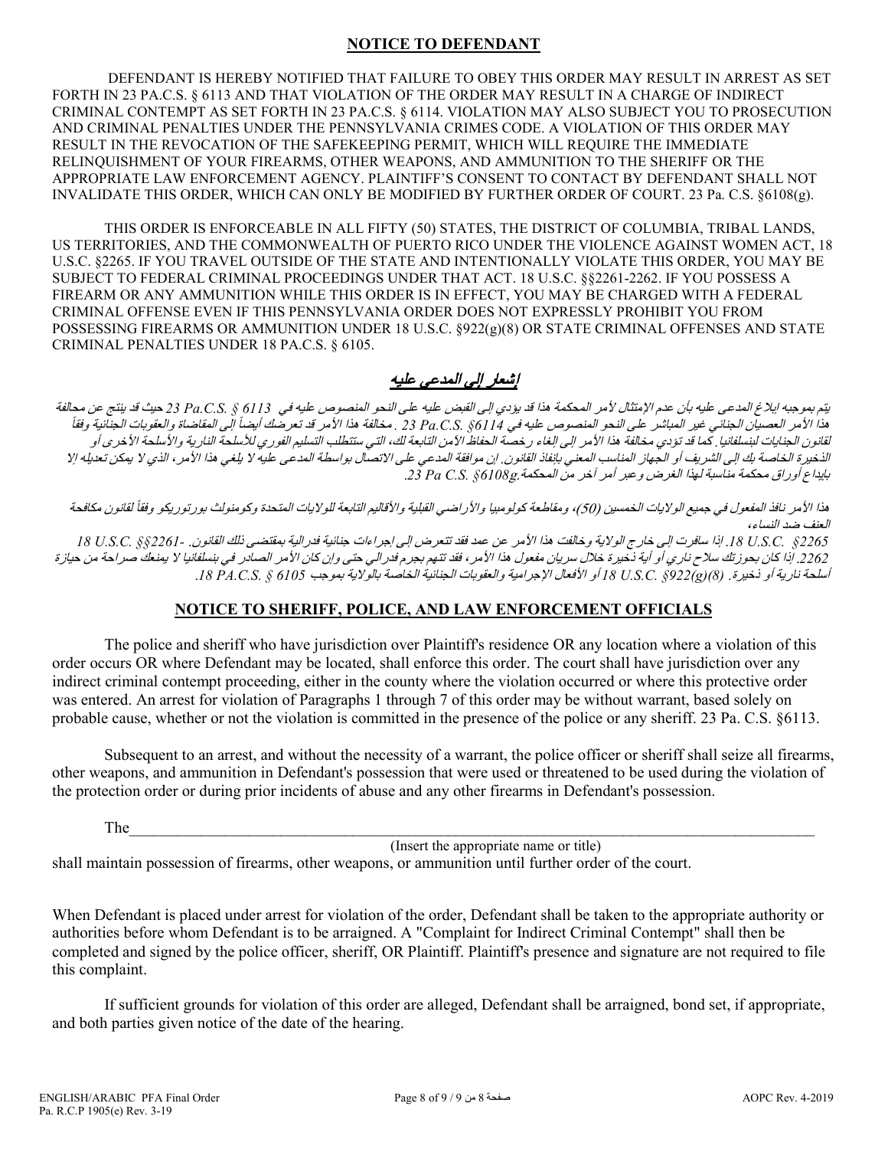## **NOTICE TO DEFENDANT**

DEFENDANT IS HEREBY NOTIFIED THAT FAILURE TO OBEY THIS ORDER MAY RESULT IN ARREST AS SET FORTH IN 23 PA.C.S. § 6113 AND THAT VIOLATION OF THE ORDER MAY RESULT IN A CHARGE OF INDIRECT CRIMINAL CONTEMPT AS SET FORTH IN 23 PA.C.S. § 6114. VIOLATION MAY ALSO SUBJECT YOU TO PROSECUTION AND CRIMINAL PENALTIES UNDER THE PENNSYLVANIA CRIMES CODE. A VIOLATION OF THIS ORDER MAY RESULT IN THE REVOCATION OF THE SAFEKEEPING PERMIT, WHICH WILL REQUIRE THE IMMEDIATE RELINQUISHMENT OF YOUR FIREARMS, OTHER WEAPONS, AND AMMUNITION TO THE SHERIFF OR THE APPROPRIATE LAW ENFORCEMENT AGENCY. PLAINTIFF'S CONSENT TO CONTACT BY DEFENDANT SHALL NOT INVALIDATE THIS ORDER, WHICH CAN ONLY BE MODIFIED BY FURTHER ORDER OF COURT. 23 Pa. C.S. §6108(g).

THIS ORDER IS ENFORCEABLE IN ALL FIFTY (50) STATES, THE DISTRICT OF COLUMBIA, TRIBAL LANDS, US TERRITORIES, AND THE COMMONWEALTH OF PUERTO RICO UNDER THE VIOLENCE AGAINST WOMEN ACT, 18 U.S.C. §2265. IF YOU TRAVEL OUTSIDE OF THE STATE AND INTENTIONALLY VIOLATE THIS ORDER, YOU MAY BE SUBJECT TO FEDERAL CRIMINAL PROCEEDINGS UNDER THAT ACT. 18 U.S.C. §§2261-2262. IF YOU POSSESS A FIREARM OR ANY AMMUNITION WHILE THIS ORDER IS IN EFFECT, YOU MAY BE CHARGED WITH A FEDERAL CRIMINAL OFFENSE EVEN IF THIS PENNSYLVANIA ORDER DOES NOT EXPRESSLY PROHIBIT YOU FROM POSSESSING FIREARMS OR AMMUNITION UNDER 18 U.S.C. §922(g)(8) OR STATE CRIMINAL OFFENSES AND STATE CRIMINAL PENALTIES UNDER 18 PA.C.S. § 6105.

# إشعار إلى المدعى علیھ

یتم بموجبھ إبلاغ المدعى علیھ بأن عدم الإمتثال لأمر المحكمة ھذا قد یؤدي إلى القبض علیھ على النحو المنصوص علیھ في *6113 § .S.C.Pa 23* حیث قد ینتج عن محالفة ً ً إلى المقاضاة والعقوبات الجنائیة وفقا ھذا الأمر العصیان الجنائي غیر المباشر على النحو المنصوص علیھ في *6114§ .S.C.Pa 23 .* مخالفة ھذا الأمر قد تعرضك أیضا لقانون الجنايات لبنسلفانيا. كما قد تؤدي مخالفة هذا الأمر إلى إلغاء رخصة الحفاظ الآمن التابعة لك، التي التسليم الفوري للأسلحة النارية والأسلحة الأخرى أو الذخیرة الخاصة بك إلى الشریف أو الجهاز المناسب المعني بإنفاذ القانون. إن موافقة المدعي على الله عليه لا يلغي هذا الأمر ، الذي لا يمكن تعديله إلا بإیداع أوراق محكمة مناسبة لھذا الغرض وعبر أمر آخر من المحكمة.g*6108 §.S.C Pa* .*23*

هذا الأمر نافذ المفعول في جميع الولايات الخمسين (50)، ومقاطعة كولومبيا والأراضي القبلية والأقاليم التابعة للولايات المتحدة وكومنولث بورتوريكو وفقاً لقانون مكافحة العنف ضد النساء،

*2265§ .C.S.U* .*18* إذا سافرت إلى خارج الولایة وخالفت ھذا الأمر عن عمد فقد تتعرض إلى إجراءات جنائیة فدرالیة بمقتضى ذلك القانون. *2261-§§ .C.S.U 18* .*2262* إذا كان بحوزتك سلاح ناري أو أیة ذخیرة خلال سریان مفعول ھذا الأمر، فقد تتھم بجرم فدرالي حتى وإن كان الأمر الصادر في بنسلفانیا لا یمنعك صراحة من حیازة أسلحة ناریة أو ذخیرة. *(8)(g(922 §.C.S.U 18* أو الأفعال الإجرامیة والعقوبات الجنائیة الخاصة بالولایة بموجب *6105 § .S.C.PA* .*18*

# **NOTICE TO SHERIFF, POLICE, AND LAW ENFORCEMENT OFFICIALS**

The police and sheriff who have jurisdiction over Plaintiff's residence OR any location where a violation of this order occurs OR where Defendant may be located, shall enforce this order. The court shall have jurisdiction over any indirect criminal contempt proceeding, either in the county where the violation occurred or where this protective order was entered. An arrest for violation of Paragraphs 1 through 7 of this order may be without warrant, based solely on probable cause, whether or not the violation is committed in the presence of the police or any sheriff. 23 Pa. C.S. §6113.

Subsequent to an arrest, and without the necessity of a warrant, the police officer or sheriff shall seize all firearms, other weapons, and ammunition in Defendant's possession that were used or threatened to be used during the violation of the protection order or during prior incidents of abuse and any other firearms in Defendant's possession.

The  $\Box$ 

(Insert the appropriate name or title)

shall maintain possession of firearms, other weapons, or ammunition until further order of the court.

When Defendant is placed under arrest for violation of the order, Defendant shall be taken to the appropriate authority or authorities before whom Defendant is to be arraigned. A "Complaint for Indirect Criminal Contempt" shall then be completed and signed by the police officer, sheriff, OR Plaintiff. Plaintiff's presence and signature are not required to file this complaint.

If sufficient grounds for violation of this order are alleged, Defendant shall be arraigned, bond set, if appropriate, and both parties given notice of the date of the hearing.